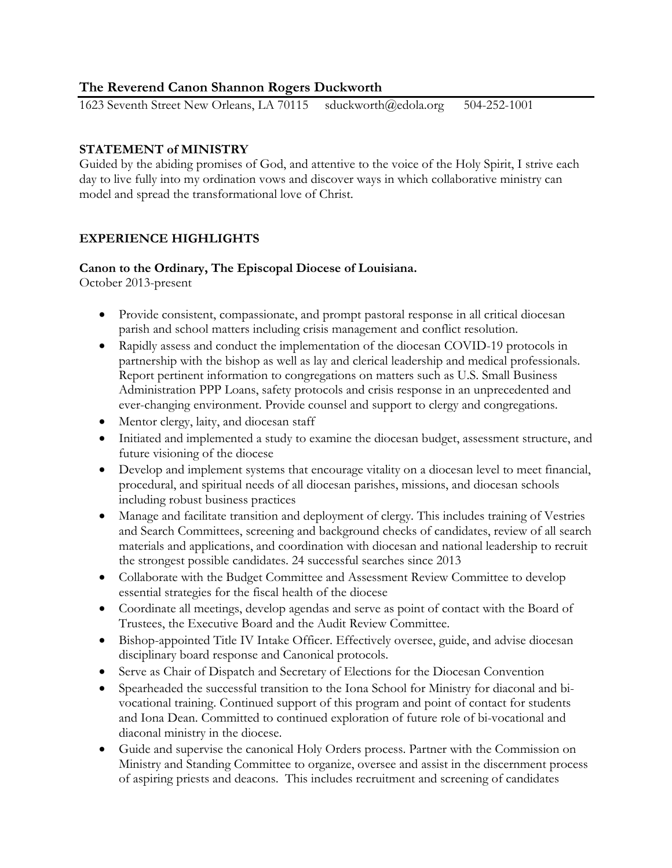# **The Reverend Canon Shannon Rogers Duckworth**

1623 Seventh Street New Orleans, LA 70115 sduckworth@edola.org 504-252-1001

## **STATEMENT of MINISTRY**

Guided by the abiding promises of God, and attentive to the voice of the Holy Spirit, I strive each day to live fully into my ordination vows and discover ways in which collaborative ministry can model and spread the transformational love of Christ.

# **EXPERIENCE HIGHLIGHTS**

## **Canon to the Ordinary, The Episcopal Diocese of Louisiana.**

October 2013-present

- Provide consistent, compassionate, and prompt pastoral response in all critical diocesan parish and school matters including crisis management and conflict resolution.
- Rapidly assess and conduct the implementation of the diocesan COVID-19 protocols in partnership with the bishop as well as lay and clerical leadership and medical professionals. Report pertinent information to congregations on matters such as U.S. Small Business Administration PPP Loans, safety protocols and crisis response in an unprecedented and ever-changing environment. Provide counsel and support to clergy and congregations.
- Mentor clergy, laity, and diocesan staff
- Initiated and implemented a study to examine the diocesan budget, assessment structure, and future visioning of the diocese
- Develop and implement systems that encourage vitality on a diocesan level to meet financial, procedural, and spiritual needs of all diocesan parishes, missions, and diocesan schools including robust business practices
- Manage and facilitate transition and deployment of clergy. This includes training of Vestries and Search Committees, screening and background checks of candidates, review of all search materials and applications, and coordination with diocesan and national leadership to recruit the strongest possible candidates. 24 successful searches since 2013
- Collaborate with the Budget Committee and Assessment Review Committee to develop essential strategies for the fiscal health of the diocese
- Coordinate all meetings, develop agendas and serve as point of contact with the Board of Trustees, the Executive Board and the Audit Review Committee.
- Bishop-appointed Title IV Intake Officer. Effectively oversee, guide, and advise diocesan disciplinary board response and Canonical protocols.
- Serve as Chair of Dispatch and Secretary of Elections for the Diocesan Convention
- Spearheaded the successful transition to the Iona School for Ministry for diaconal and bivocational training. Continued support of this program and point of contact for students and Iona Dean. Committed to continued exploration of future role of bi-vocational and diaconal ministry in the diocese.
- Guide and supervise the canonical Holy Orders process. Partner with the Commission on Ministry and Standing Committee to organize, oversee and assist in the discernment process of aspiring priests and deacons. This includes recruitment and screening of candidates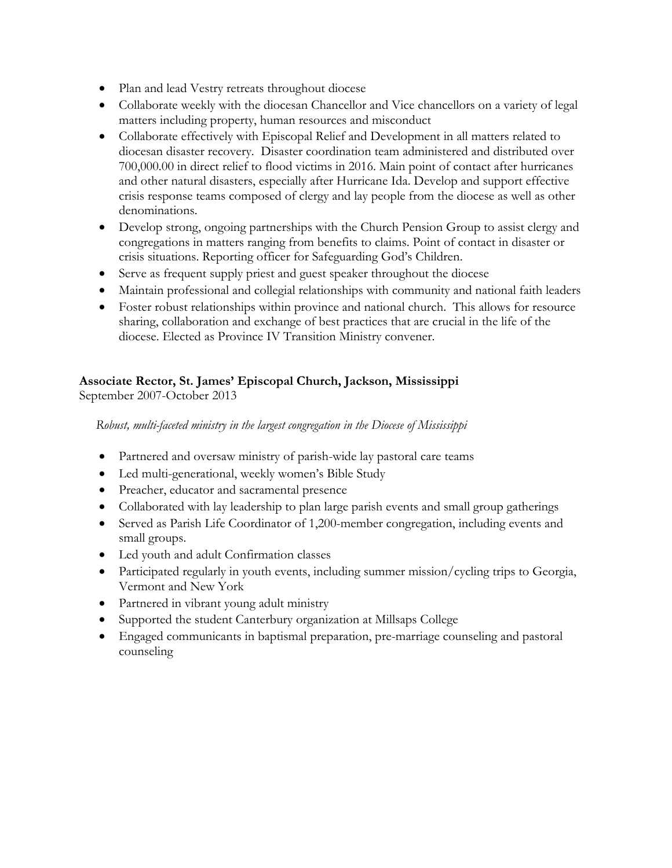- Plan and lead Vestry retreats throughout diocese
- Collaborate weekly with the diocesan Chancellor and Vice chancellors on a variety of legal matters including property, human resources and misconduct
- Collaborate effectively with Episcopal Relief and Development in all matters related to diocesan disaster recovery. Disaster coordination team administered and distributed over 700,000.00 in direct relief to flood victims in 2016. Main point of contact after hurricanes and other natural disasters, especially after Hurricane Ida. Develop and support effective crisis response teams composed of clergy and lay people from the diocese as well as other denominations.
- Develop strong, ongoing partnerships with the Church Pension Group to assist clergy and congregations in matters ranging from benefits to claims. Point of contact in disaster or crisis situations. Reporting officer for Safeguarding God's Children.
- Serve as frequent supply priest and guest speaker throughout the diocese
- Maintain professional and collegial relationships with community and national faith leaders
- Foster robust relationships within province and national church. This allows for resource sharing, collaboration and exchange of best practices that are crucial in the life of the diocese. Elected as Province IV Transition Ministry convener.

# **Associate Rector, St. James' Episcopal Church, Jackson, Mississippi**

September 2007-October 2013

 *Robust, multi-faceted ministry in the largest congregation in the Diocese of Mississippi*

- Partnered and oversaw ministry of parish-wide lay pastoral care teams
- Led multi-generational, weekly women's Bible Study
- Preacher, educator and sacramental presence
- Collaborated with lay leadership to plan large parish events and small group gatherings
- Served as Parish Life Coordinator of 1,200-member congregation, including events and small groups.
- Led youth and adult Confirmation classes
- Participated regularly in youth events, including summer mission/cycling trips to Georgia, Vermont and New York
- Partnered in vibrant young adult ministry
- Supported the student Canterbury organization at Millsaps College
- Engaged communicants in baptismal preparation, pre-marriage counseling and pastoral counseling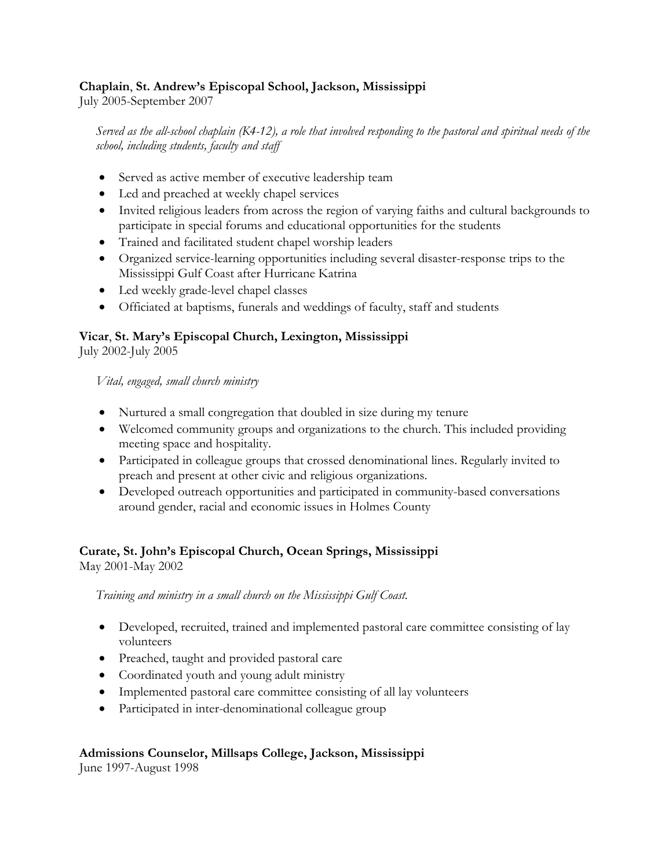# **Chaplain**, **St. Andrew's Episcopal School, Jackson, Mississippi**

July 2005-September 2007

 *Served as the all-school chaplain (K4-12), a role that involved responding to the pastoral and spiritual needs of the school, including students, faculty and staff*

- Served as active member of executive leadership team
- Led and preached at weekly chapel services
- Invited religious leaders from across the region of varying faiths and cultural backgrounds to participate in special forums and educational opportunities for the students
- Trained and facilitated student chapel worship leaders
- Organized service-learning opportunities including several disaster-response trips to the Mississippi Gulf Coast after Hurricane Katrina
- Led weekly grade-level chapel classes
- Officiated at baptisms, funerals and weddings of faculty, staff and students

# **Vicar**, **St. Mary's Episcopal Church, Lexington, Mississippi**

July 2002-July 2005

 *Vital, engaged, small church ministry*

- Nurtured a small congregation that doubled in size during my tenure
- Welcomed community groups and organizations to the church. This included providing meeting space and hospitality.
- Participated in colleague groups that crossed denominational lines. Regularly invited to preach and present at other civic and religious organizations.
- Developed outreach opportunities and participated in community-based conversations around gender, racial and economic issues in Holmes County

# **Curate, St. John's Episcopal Church, Ocean Springs, Mississippi**

May 2001-May 2002

 *Training and ministry in a small church on the Mississippi Gulf Coast.*

- Developed, recruited, trained and implemented pastoral care committee consisting of lay volunteers
- Preached, taught and provided pastoral care
- Coordinated youth and young adult ministry
- Implemented pastoral care committee consisting of all lay volunteers
- Participated in inter-denominational colleague group

# **Admissions Counselor, Millsaps College, Jackson, Mississippi**

June 1997-August 1998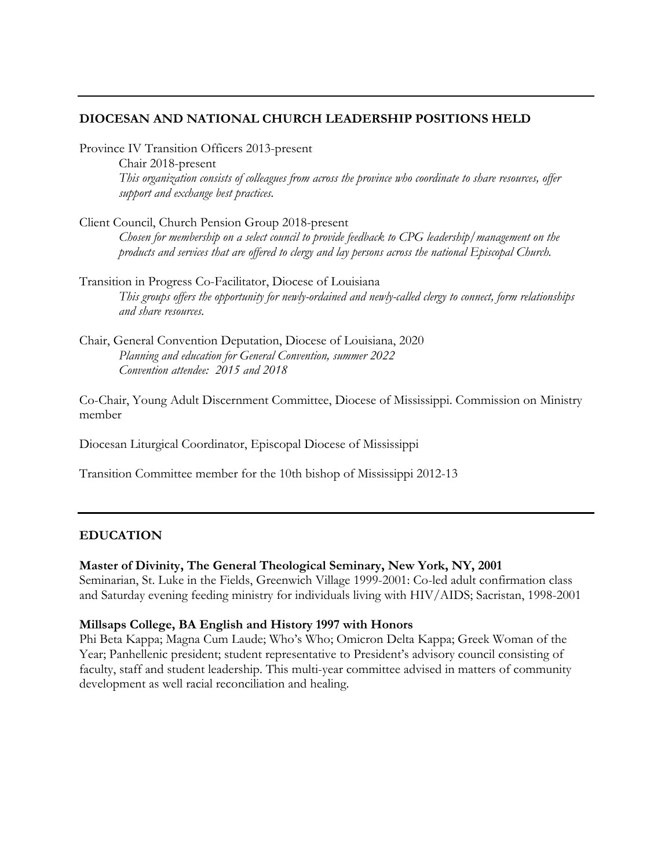### **DIOCESAN AND NATIONAL CHURCH LEADERSHIP POSITIONS HELD**

Province IV Transition Officers 2013-present

Chair 2018-present *This organization consists of colleagues from across the province who coordinate to share resources, offer support and exchange best practices.*

Client Council, Church Pension Group 2018-present

*Chosen for membership on a select council to provide feedback to CPG leadership/management on the products and services that are offered to clergy and lay persons across the national Episcopal Church.*

Transition in Progress Co-Facilitator, Diocese of Louisiana *This groups offers the opportunity for newly-ordained and newly-called clergy to connect, form relationships and share resources.*

Chair, General Convention Deputation, Diocese of Louisiana, 2020 *Planning and education for General Convention, summer 2022 Convention attendee: 2015 and 2018*

Co-Chair, Young Adult Discernment Committee, Diocese of Mississippi. Commission on Ministry member

Diocesan Liturgical Coordinator, Episcopal Diocese of Mississippi

Transition Committee member for the 10th bishop of Mississippi 2012-13

#### **EDUCATION**

#### **Master of Divinity, The General Theological Seminary, New York, NY, 2001**

Seminarian, St. Luke in the Fields, Greenwich Village 1999-2001: Co-led adult confirmation class and Saturday evening feeding ministry for individuals living with HIV/AIDS; Sacristan, 1998-2001

#### **Millsaps College, BA English and History 1997 with Honors**

Phi Beta Kappa; Magna Cum Laude; Who's Who; Omicron Delta Kappa; Greek Woman of the Year; Panhellenic president; student representative to President's advisory council consisting of faculty, staff and student leadership. This multi-year committee advised in matters of community development as well racial reconciliation and healing.